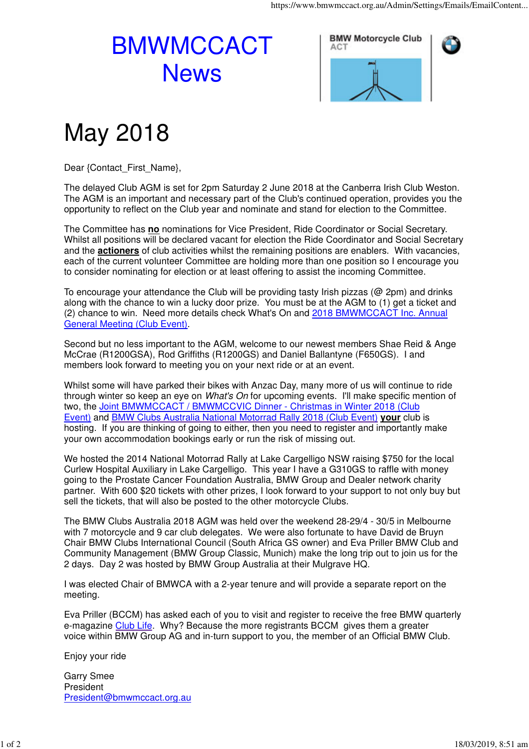## BMWMCCACT **News**



## May 2018

Dear {Contact\_First\_Name},

The delayed Club AGM is set for 2pm Saturday 2 June 2018 at the Canberra Irish Club Weston. The AGM is an important and necessary part of the Club's continued operation, provides you the opportunity to reflect on the Club year and nominate and stand for election to the Committee.

The Committee has **no** nominations for Vice President, Ride Coordinator or Social Secretary. Whilst all positions will be declared vacant for election the Ride Coordinator and Social Secretary and the **actioners** of club activities whilst the remaining positions are enablers. With vacancies, each of the current volunteer Committee are holding more than one position so I encourage you to consider nominating for election or at least offering to assist the incoming Committee.

To encourage your attendance the Club will be providing tasty Irish pizzas (@ 2pm) and drinks along with the chance to win a lucky door prize. You must be at the AGM to (1) get a ticket and (2) chance to win. Need more details check What's On and 2018 BMWMCCACT Inc. Annual General Meeting (Club Event).

Second but no less important to the AGM, welcome to our newest members Shae Reid & Ange McCrae (R1200GSA), Rod Griffiths (R1200GS) and Daniel Ballantyne (F650GS). I and members look forward to meeting you on your next ride or at an event.

Whilst some will have parked their bikes with Anzac Day, many more of us will continue to ride through winter so keep an eye on *What's On* for upcoming events. I'll make specific mention of two, the Joint BMWMCCACT / BMWMCCVIC Dinner - Christmas in Winter 2018 (Club Event) and BMW Clubs Australia National Motorrad Rally 2018 (Club Event) **your** club is hosting. If you are thinking of going to either, then you need to register and importantly make your own accommodation bookings early or run the risk of missing out.

We hosted the 2014 National Motorrad Rally at Lake Cargelligo NSW raising \$750 for the local Curlew Hospital Auxiliary in Lake Cargelligo. This year I have a G310GS to raffle with money going to the Prostate Cancer Foundation Australia, BMW Group and Dealer network charity partner. With 600 \$20 tickets with other prizes, I look forward to your support to not only buy but sell the tickets, that will also be posted to the other motorcycle Clubs.

The BMW Clubs Australia 2018 AGM was held over the weekend 28-29/4 - 30/5 in Melbourne with 7 motorcycle and 9 car club delegates. We were also fortunate to have David de Bruyn Chair BMW Clubs International Council (South Africa GS owner) and Eva Priller BMW Club and Community Management (BMW Group Classic, Munich) make the long trip out to join us for the 2 days. Day 2 was hosted by BMW Group Australia at their Mulgrave HQ.

I was elected Chair of BMWCA with a 2-year tenure and will provide a separate report on the meeting.

Eva Priller (BCCM) has asked each of you to visit and register to receive the free BMW quarterly e-magazine Club Life. Why? Because the more registrants BCCM gives them a greater voice within BMW Group AG and in-turn support to you, the member of an Official BMW Club.

Enjoy your ride

Garry Smee President President@bmwmccact.org.au